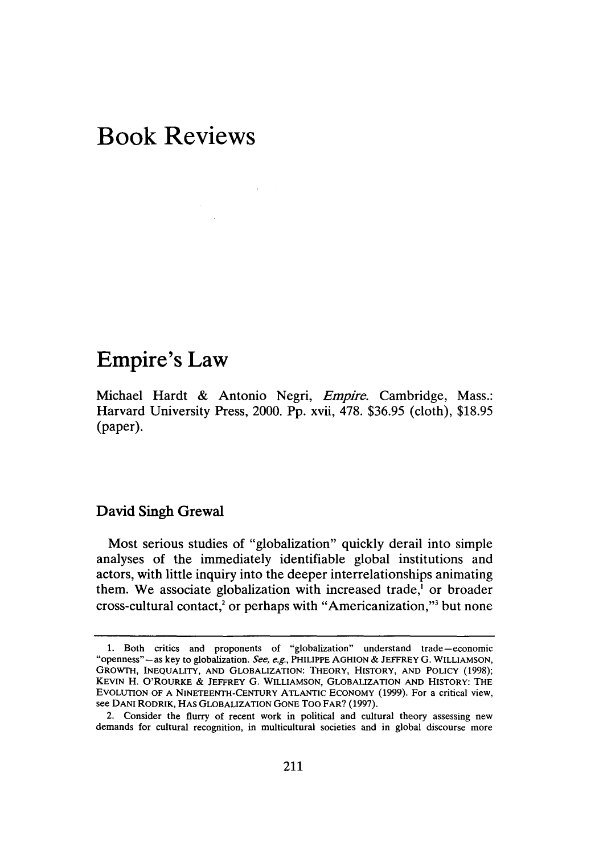# **Book Reviews**

# **Empire's Law**

Michael Hardt & Antonio Negri, *Empire.* Cambridge, Mass.: Harvard University Press, 2000. Pp. xvii, 478. \$36.95 (cloth), \$18.95 (paper).

# **David Singh Grewal**

Most serious studies of "globalization" quickly derail into simple analyses of the immediately identifiable global institutions and actors, with little inquiry into the deeper interrelationships animating them. We associate globalization with increased trade,<sup>1</sup> or broader cross-cultural contact,<sup>2</sup> or perhaps with "Americanization,"<sup>3</sup> but none

<sup>1.</sup> Both critics and proponents of "globalization" understand trade-economic "openness"-as key to globalization. *See, e.g.,* PHILIPPE AGHION & JEFFREY G. WILLIAMSON, GROWTH, INEQUALITY, AND GLOBALIZATION: THEORY, HISTORY, AND POLICY (1998); KEVIN H. O'ROURKE & JEFFREY G. WILLIAMSON, GLOBALIZATION AND HISTORY: THE EVOLUTION OF A NINETEENTH-CENTURY ATLANTIC ECONOMY (1999). For a critical view, see DANI RODRIK, HAS GLOBALIZATION GONE Too FAR? (1997).

<sup>2.</sup> Consider the flurry of recent work in political and cultural theory assessing new demands for cultural recognition, in multicultural societies and in global discourse more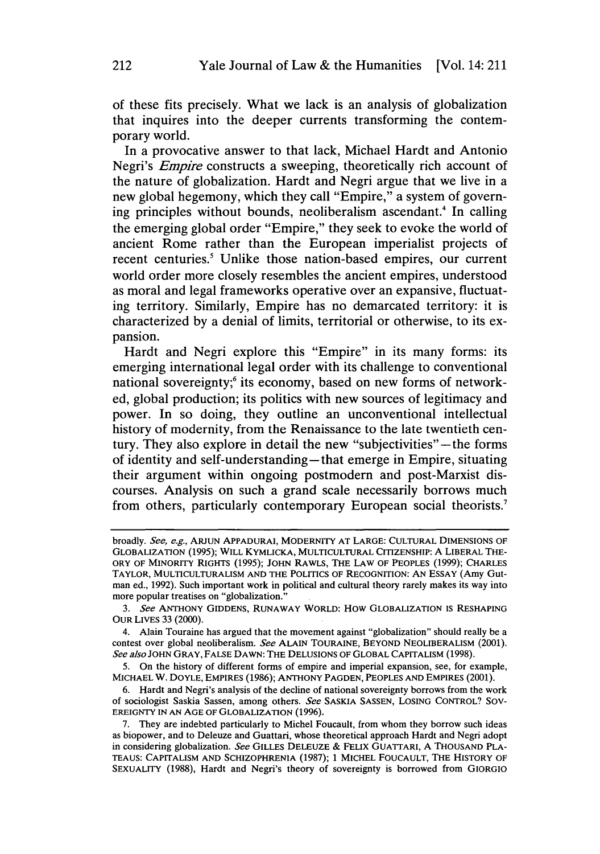of these fits precisely. What we lack is an analysis of globalization that inquires into the deeper currents transforming the contemporary world.

In a provocative answer to that lack, Michael Hardt and Antonio Negri's *Empire* constructs a sweeping, theoretically rich account of the nature of globalization. Hardt and Negri argue that we live in a new global hegemony, which they call "Empire," a system of governing principles without bounds, neoliberalism ascendant.4 In calling the emerging global order "Empire," they seek to evoke the world of ancient Rome rather than the European imperialist projects of recent centuries.<sup>5</sup> Unlike those nation-based empires, our current world order more closely resembles the ancient empires, understood as moral and legal frameworks operative over an expansive, fluctuating territory. Similarly, Empire has no demarcated territory: it is characterized by a denial of limits, territorial or otherwise, to its expansion.

Hardt and Negri explore this "Empire" in its many forms: its emerging international legal order with its challenge to conventional national sovereignty;<sup>6</sup> its economy, based on new forms of networked, global production; its politics with new sources of legitimacy and power. In so doing, they outline an unconventional intellectual history of modernity, from the Renaissance to the late twentieth century. They also explore in detail the new "subjectivities"—the forms of identity and self-understanding-that emerge in Empire, situating their argument within ongoing postmodern and post-Marxist discourses. Analysis on such a grand scale necessarily borrows much from others, particularly contemporary European social theorists.<sup>7</sup>

5. On the history of different forms of empire and imperial expansion, see, for example, MICHAEL W. DOYLE, EMPIRES (1986); ANTHONY PAGDEN, PEOPLES AND EMPIRES (2001).

6. Hardt and Negri's analysis of the decline of national sovereignty borrows from the work of sociologist Saskia Sassen, among others. *See* SASKIA SASSEN, LOSING CONTROL? SOV-EREIGNTY IN AN AGE OF GLOBALIZATION (1996).

broadly. *See, e.g.,* ARJUN APPADURAI, MODERNITY AT LARGE: CULTURAL DIMENSIONS OF GLOBALIZATION (1995); WILL KYMLICKA, MULTICULTURAL CITIZENSHIP: A LIBERAL THE-ORY OF MINORITY RIGHTS (1995); JOHN RAWLS, THE LAW OF PEOPLES (1999); CHARLES TAYLOR, MULTICULTURALISM AND THE POLITICS OF RECOGNITION: AN ESSAY (Amy Gutman ed., 1992). Such important work in political and cultural theory rarely makes its way into more popular treatises on "globalization."

<sup>3.</sup> *See* ANTHONY GIDDENS, RUNAWAY WORLD: How GLOBALIZATION JS RESHAPING OUR LIVES 33 (2000).

<sup>4.</sup> Alain Touraine has argued that the movement against "globalization" should really be a contest over global neoliberalism. *See* ALAIN TOURAINE, BEYOND NEOLJBERALISM (2001). See also JOHN GRAY, FALSE DAWN: THE DELUSIONS OF GLOBAL CAPITALISM (1998).

<sup>7.</sup> They are indebted particularly to Michel Foucault, from whom they borrow such ideas as biopower, and to Deleuze and Guattari, whose theoretical approach Hardt and Negri adopt in considering globalization. *See* GILLES DELEUZE & FELIX GUATTARI, A THOUSAND PLA-TEAUS: CAPITALISM AND SCHIZOPHRENIA (1987); 1 MICHEL FOUCAULT, THE HISTORY OF SEXUALITY (1988), Hardt and Negri's theory of sovereignty is borrowed from GIORGIO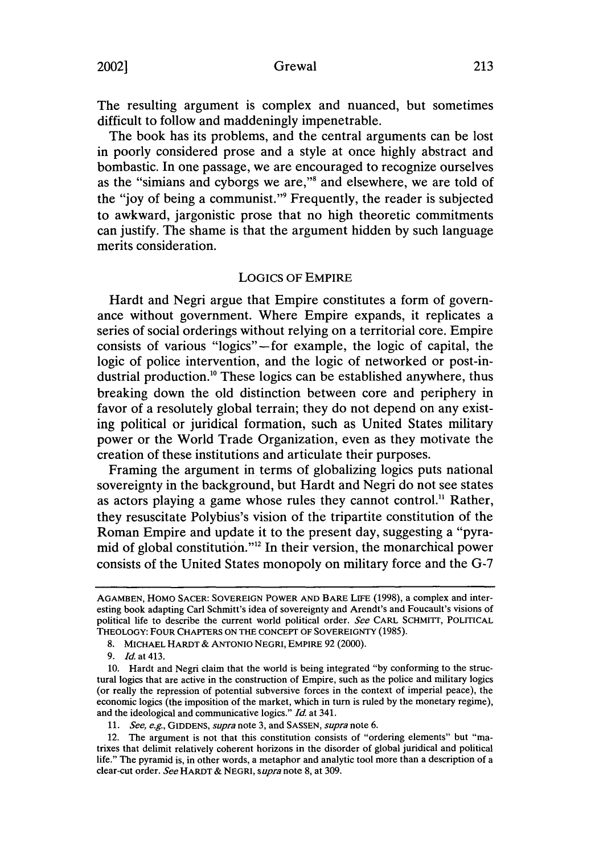# 2002] Grewal 213

The resulting argument is complex and nuanced, but sometimes difficult to follow and maddeningly impenetrable.

The book has its problems, and the central arguments can be lost in poorly considered prose and a style at once highly abstract and bombastic. In one passage, we are encouraged to recognize ourselves as the "simians and cyborgs we are,"8 and elsewhere, we are told of the "joy of being a communist."9 Frequently, the reader is subjected to awkward, jargonistic prose that no high theoretic commitments can justify. The shame is that the argument hidden by such language merits consideration.

### LOGICS OF EMPIRE

Hardt and Negri argue that Empire constitutes a form of governance without government. Where Empire expands, it replicates a series of social orderings without relying on a territorial core. Empire consists of various "logics" -for example, the logic of capital, the logic of police intervention, and the logic of networked or post-industrial production.<sup>10</sup> These logics can be established anywhere, thus breaking down the old distinction between core and periphery in favor of a resolutely global terrain; they do not depend on any existing political or juridical formation, such as United States military power or the World Trade Organization, even as they motivate the creation of these institutions and articulate their purposes.

Framing the argument in terms of globalizing logics puts national sovereignty in the background, but Hardt and Negri do not see states as actors playing a game whose rules they cannot control.<sup>11</sup> Rather, they resuscitate Polybius's vision of the tripartite constitution of the Roman Empire and update it to the present day, suggesting a "pyramid of global constitution."12 In their version, the monarchical power consists of the United States monopoly on military force and the G-7

AGAMBEN, HOMO SACER: SOVEREIGN POWER AND BARE LIFE (1998), a complex and interesting book adapting Carl Schmitt's idea of sovereignty and Arendt's and Foucault's visions of political life to describe the current world political order. *See* CARL SCHMITT, POLITICAL THEOLOGY: FOUR CHAPTERS ON THE CONCEPT OF SOVEREIGNTY (1985).

<sup>8.</sup> MICHAEL HARDT & ANTONIO NEGRI, EMPIRE 92 (2000).

<sup>9.</sup> *Id.* at 413.

<sup>10.</sup> Hardt and Negri claim that the world is being integrated "by conforming to the structural logics that are active in the construction of Empire, such as the police and military logics (or really the repression of potential subversive forces in the context of imperial peace), the economic logics (the imposition of the market, which in turn is ruled by the monetary regime), and the ideological and communicative logics." *Id* at 341.

<sup>11.</sup> *See, e.g.,* GIDDENS, *supra* note 3, and SASSEN, *supra* note 6.

<sup>12.</sup> The argument is not that this constitution consists of "ordering elements" but "matrixes that delimit relatively coherent horizons in the disorder of global juridical and political life." The pyramid is, in other words, a metaphor and analytic tool more than a description of a clear-cut order. *See* HARDT & NEGRI, *supra* note 8, at 309.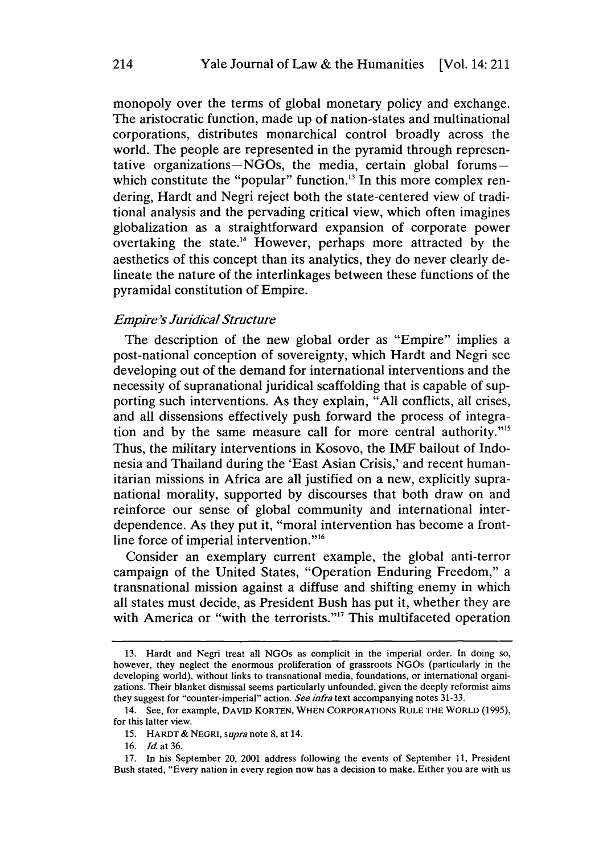monopoly over the terms of global monetary policy and exchange. The aristocratic function, made up of nation-states and multinational corporations, distributes monarchical control broadly across the world. The people are represented in the pyramid through representative organizations-NGOs, the media, certain global forumswhich constitute the "popular" function.<sup>13</sup> In this more complex rendering, Hardt and Negri reject both the state-centered view of traditional analysis and the pervading critical view, which often imagines globalization as a straightforward expansion of corporate power overtaking the state.14 However, perhaps more attracted by the aesthetics of this concept than its analytics, they do never clearly delineate the nature of the interlinkages between these functions of the pyramidal constitution of Empire.

# *Empire's Juridical Structure*

The description of the new global order as "Empire" implies a post-national conception of sovereignty, which Hardt and Negri see developing out of the demand for international interventions and the necessity of supranational juridical scaffolding that is capable of supporting such interventions. As they explain, "All conflicts, all crises, and all dissensions effectively push forward the process of integration and by the same measure call for more central authority."<sup>15</sup> Thus, the military interventions in Kosovo, the IMF bailout of Indonesia and Thailand during the 'East Asian Crisis,' and recent humanitarian missions in Africa are all justified on a new, explicitly supranational morality, supported by discourses that both draw on and reinforce our sense of global community and international interdependence. As they put it, "moral intervention has become a frontline force of imperial intervention."<sup>16</sup>

Consider an exemplary current example, the global anti-terror campaign of the United States, "Operation Enduring Freedom," a transnational mission against a diffuse and shifting enemy in which all states must decide, as President Bush has put it, whether they are with America or "with the terrorists."<sup>17</sup> This multifaceted operation

<sup>13.</sup> Hardt and Negri treat all NGOs as complicit in the imperial order. In doing so, however, they neglect the enormous proliferation of grassroots NGOs (particularly in the developing world), without links to transnational media, foundations, or international organizations. Their blanket dismissal seems particularly unfounded, given the deeply reformist aims they suggest for "counter-imperial" action. *See infra* text accompanying notes 31-33.

<sup>14.</sup> See, for example, DAVID KORTEN, WHEN CORPORATIONS RULE THE WORLD (1995), for this latter view.

<sup>15.</sup> HARDT & NEGRI, *supra* note 8, at 14.

<sup>16.</sup> *Id* at 36.

<sup>17.</sup> In his September 20, 2001 address following the events of September 11, President Bush stated, "Every nation in every region now has a decision to make. Either you are with us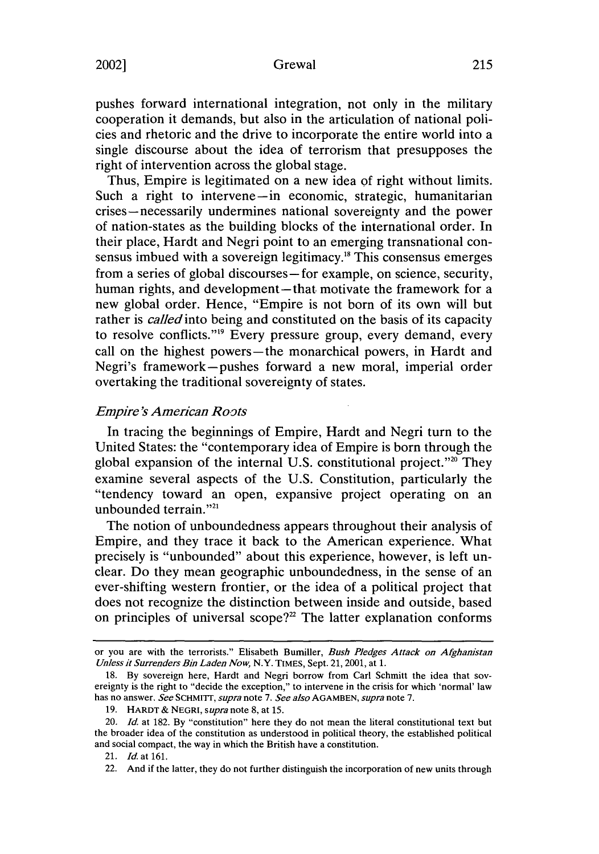# 2002] Grewal 215

pushes forward international integration, not only in the military cooperation it demands, but also in the articulation of national policies and rhetoric and the drive to incorporate the entire world into a single discourse about the idea of terrorism that presupposes the right of intervention across the global stage.

Thus, Empire is legitimated on a new idea of right without limits. Such a right to intervene-in economic, strategic, humanitarian crises-necessarily undermines national sovereignty and the power of nation-states as the building blocks of the international order. In their place, Hardt and Negri point to an emerging transnational consensus imbued with a sovereign legitimacy.18 This consensus emerges from a series of global discourses-for example, on science, security, human rights, and development-that motivate the framework for a new global order. Hence, "Empire is not born of its own will but rather is *called* into being and constituted on the basis of its capacity to resolve conflicts."<sup>19</sup> Every pressure group, every demand, every call on the highest powers-the monarchical powers, in Hardt and Negri's framework-pushes forward a new moral, imperial order overtaking the traditional sovereignty of states.

# *Empire-S American Roots*

In tracing the beginnings of Empire, Hardt and Negri turn to the United States: the "contemporary idea of Empire is born through the global expansion of the internal U.S. constitutional project." $20$  They examine several aspects of the U.S. Constitution, particularly the "tendency toward an open, expansive project operating on an unbounded terrain."<sup>21</sup>

The notion of unboundedness appears throughout their analysis of Empire, and they trace it back to the American experience. What precisely is "unbounded" about this experience, however, is left unclear. Do they mean geographic unboundedness, in the sense of an ever-shifting western frontier, or the idea of a political project that does not recognize the distinction between inside and outside, based on principles of universal scope? $2^2$  The latter explanation conforms

or you are with the terrorists." Elisabeth Bumiller, *Bush Pledges Attack on Afghanistan Unless it Surrenders Bin Laden Now,* N.Y. TIMES, Sept. 21, 2001, at 1.

<sup>18.</sup> By sovereign here, Hardt and Negri borrow from Carl Schmitt the idea that sovereignty is the right to "decide the exception," to intervene in the crisis for which 'normal' law has no answer. *See* SCHMITT, *supra* note 7. *See alsoAGAMBEN, supra* note 7.

<sup>19.</sup> HARDT & NEGRI, *supra* note 8, at 15.

<sup>20.</sup> *Id* at 182. By "constitution" here they do not mean the literal constitutional text but the broader idea of the constitution as understood in political theory, the established political and social compact, the way in which the British have a constitution.

<sup>21.</sup> *Id.* at 161.

<sup>22.</sup> And if the latter, they do not further distinguish the incorporation of new units through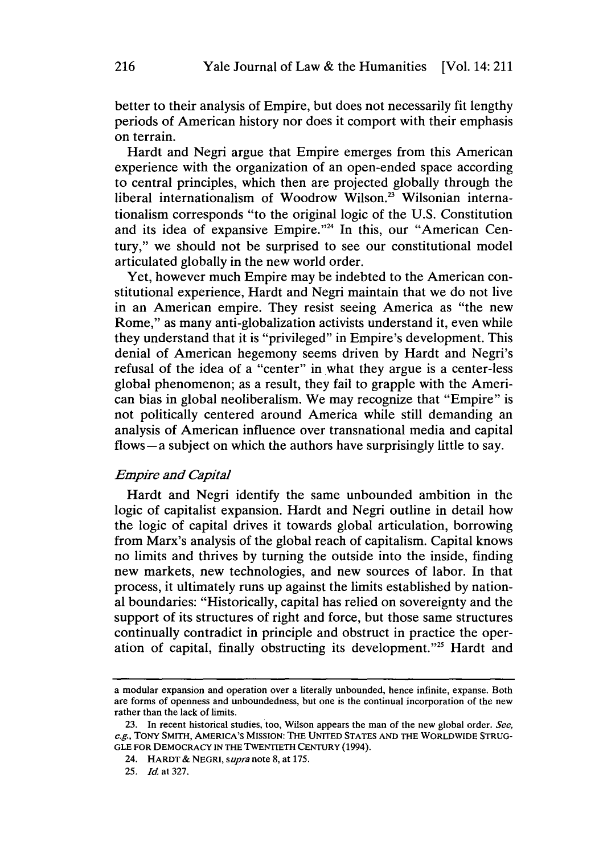better to their analysis of Empire, but does not necessarily fit lengthy periods of American history nor does it comport with their emphasis on terrain.

Hardt and Negri argue that Empire emerges from this American experience with the organization of an open-ended space according to central principles, which then are projected globally through the liberal internationalism of Woodrow Wilson.<sup>23</sup> Wilsonian internationalism corresponds "to the original logic of the U.S. Constitution and its idea of expansive Empire."<sup>24</sup> In this, our "American Century," we should not be surprised to see our constitutional model articulated globally in the new world order.

Yet, however much Empire may be indebted to the American constitutional experience, Hardt and Negri maintain that we do not live in an American empire. They resist seeing America as "the new Rome," as many anti-globalization activists understand it, even while they understand that it is "privileged" in Empire's development. This denial of American hegemony seems driven by Hardt and Negri's refusal of the idea of a "center" in what they argue is a center-less global phenomenon; as a result, they fail to grapple with the American bias in global neoliberalism. We may recognize that "Empire" is not politically centered around America while still demanding an analysis of American influence over transnational media and capital flows-a subject on which the authors have surprisingly little to say.

### *Empire and Capital*

Hardt and Negri identify the same unbounded ambition in the logic of capitalist expansion. Hardt and Negri outline in detail how the logic of capital drives it towards global articulation, borrowing from Marx's analysis of the global reach of capitalism. Capital knows no limits and thrives by turning the outside into the inside, finding new markets, new technologies, and new sources of labor. In that process, it ultimately runs up against the limits established by national boundaries: "Historically, capital has relied on sovereignty and the support of its structures of right and force, but those same structures continually contradict in principle and obstruct in practice the operation of capital, finally obstructing its development."25 Hardt and

a modular expansion and operation over a literally unbounded, hence infinite, expanse. Both are forms of openness and unboundedness, but one is the continual incorporation of the new rather than the lack of limits.

<sup>23.</sup> In recent historical studies, too, Wilson appears the man of the new global order. *See, e.g.,* TONY SMITH, AMERICA'S MISSION: THE UNITED STATES AND THE WORLDWIDE STRUG-GLE FOR DEMOCRACY IN THE TwENTIETH CENTURY (1994).

<sup>24.</sup> HARDT & NEGRI, *supra* note 8, at 175.

<sup>25.</sup> *Id* at 327.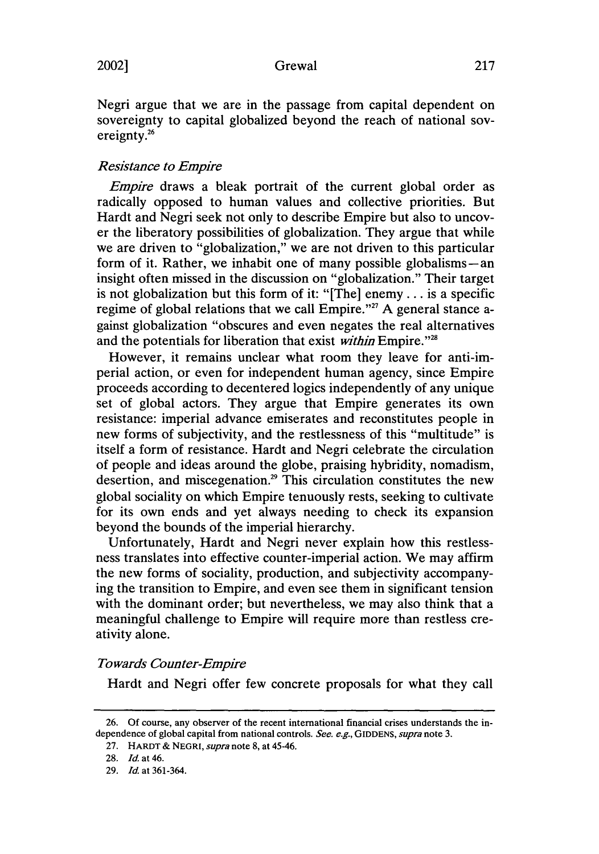Negri argue that we are in the passage from capital dependent on sovereignty to capital globalized beyond the reach of national sovereignty.<sup>26</sup>

# *Resistance to Empire*

*Empire* draws a bleak portrait of the current global order as radically opposed to human values and collective priorities. But Hardt and Negri seek not only to describe Empire but also to uncover the liberatory possibilities of globalization. They argue that while we are driven to "globalization," we are not driven to this particular form of it. Rather, we inhabit one of many possible globalisms-an insight often missed in the discussion on "globalization." Their target is not globalization but this form of it: "[The] enemy ... is a specific regime of global relations that we call Empire."<sup>27</sup> A general stance against globalization "obscures and even negates the real alternatives and the potentials for liberation that exist *within* Empire. "<sup>28</sup>

However, it remains unclear what room they leave for anti-imperial action, or even for independent human agency, since Empire proceeds according to decentered logics independently of any unique set of global actors. They argue that Empire generates its own resistance: imperial advance emiserates and reconstitutes people in new forms of subjectivity, and the restlessness of this "multitude" is itself a form of resistance. Hardt and Negri celebrate the circulation of people and ideas around the globe, praising hybridity, nomadism, desertion, and miscegenation.<sup>29</sup> This circulation constitutes the new global sociality on which Empire tenuously rests, seeking to cultivate for its own ends and yet always needing to check its expansion beyond the bounds of the imperial hierarchy.

Unfortunately, Hardt and Negri never explain how this restlessness translates into effective counter-imperial action. We may affirm the new forms of sociality, production, and subjectivity accompanying the transition to Empire, and even see them in significant tension with the dominant order; but nevertheless, we may also think that a meaningful challenge to Empire will require more than restless creativity alone.

### *Towards Counter-Empire*

Hardt and Negri offer few concrete proposals for what they call

<sup>26.</sup> Of course, any observer of the recent international financial crises understands the independence of global capital from national controls. See. e.g., GIDDENS, *supra* note 3.

<sup>27.</sup> HARDT & NEGRI, *supra* note 8, at 45-46.

<sup>28.</sup> *Id* at 46.

<sup>29.</sup> *Id* at 361-364.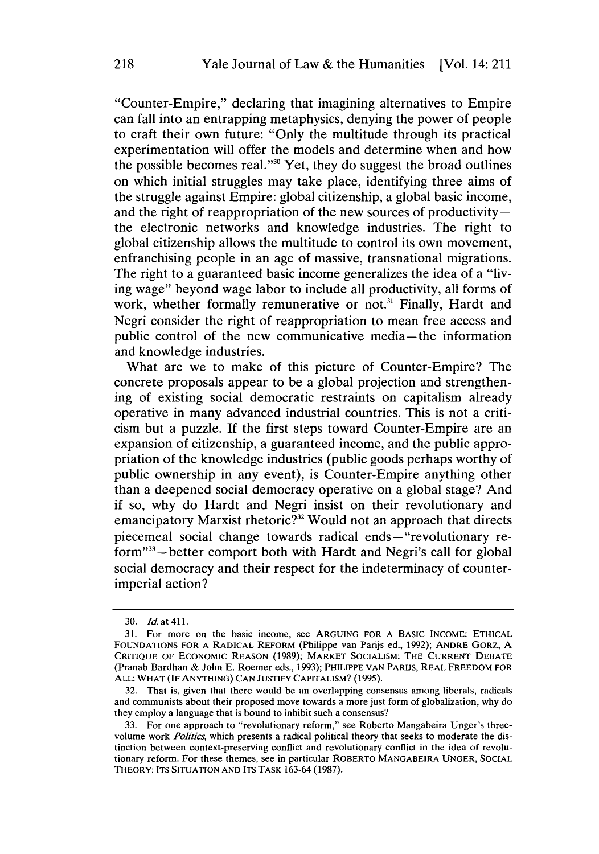"Counter-Empire," declaring that imagining alternatives to Empire can fall into an entrapping metaphysics, denying the power of people to craft their own future: "Only the multitude through its practical experimentation will offer the models and determine when and how the possible becomes real. "30 Yet, they do suggest the broad outlines on which initial struggles may take place, identifying three aims of the struggle against Empire: global citizenship, a global basic income, and the right of reappropriation of the new sources of productivitythe electronic networks and knowledge industries. The right to global citizenship allows the multitude to control its own movement, enfranchising people in an age of massive, transnational migrations. The right to a guaranteed basic income generalizes the idea of a "living wage" beyond wage labor to include all productivity, all forms of work, whether formally remunerative or not.<sup>31</sup> Finally, Hardt and Negri consider the right of reappropriation to mean free access and public control of the new communicative media-the information and knowledge industries.

What are we to make of this picture of Counter-Empire? The concrete proposals appear to be a global projection and strengthening of existing social democratic restraints on capitalism already operative in many advanced industrial countries. This is not a criticism but a puzzle. If the first steps toward Counter-Empire are an expansion of citizenship, a guaranteed income, and the public appropriation of the knowledge industries (public goods perhaps worthy of public ownership in any event), is Counter-Empire anything other than a deepened social democracy operative on a global stage? And if so, why do Hardt and Negri insist on their revolutionary and emancipatory Marxist rhetoric?<sup>32</sup> Would not an approach that directs piecemeal social change towards radical ends- "revolutionary reform"<sup>33</sup> - better comport both with Hardt and Negri's call for global social democracy and their respect for the indeterminacy of counterimperial action?

<sup>30.</sup> *Id* at 411.

<sup>31.</sup> For more on the basic income, see ARGUING FOR A BASIC INCOME: ETHICAL FOUNDATIONS FOR A RADICAL REFORM (Philippe van Parijs ed., 1992); ANDRE GORZ, A CRITIQUE OF ECONOMIC REASON (1989); MARKET SOCIALISM: THE CURRENT DEBATE (Pranab Bardhan & John E. Roemer eds., 1993); PHILIPPE VAN PARIJS, REAL FREEDOM FOR ALL: WHAT (IF ANYTHING) CAN JUSTIFY CAPITALISM? (1995).

<sup>32.</sup> That is, given that there would be an overlapping consensus among liberals, radicals and communists about their proposed move towards a more just form of globalization, why do they employ a language that is bound to inhibit such a consensus?

<sup>33.</sup> For one approach to "revolutionary reform," see Roberto Mangabeira Unger's threevolume work *Politics,* which presents a radical political theory that seeks to moderate the distinction between context-preserving conflict and revolutionary conflict in the idea of revolutionary reform. For these themes, see in particular ROBERTO MANGABEIRA UNGER, SOCIAL THEORY: ITS SITUATION AND ITS TASK 163-64 (1987).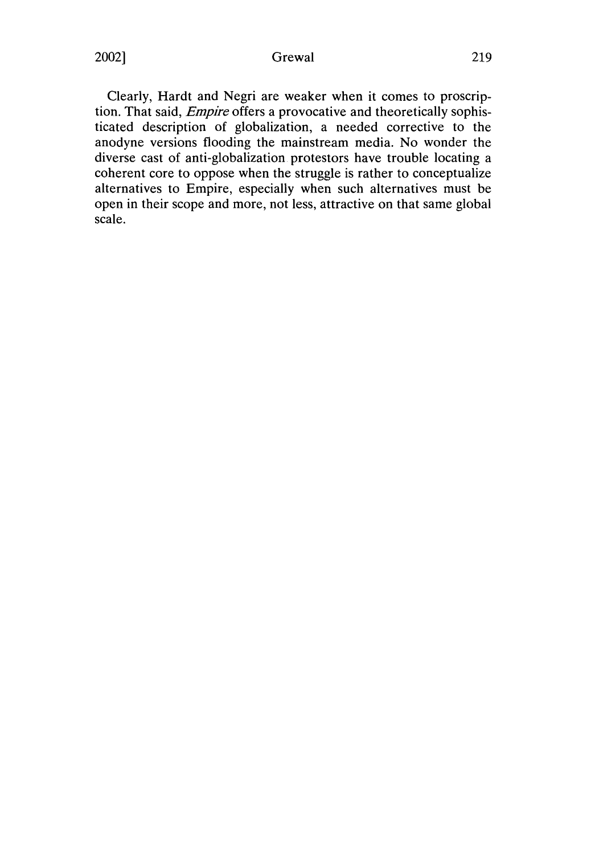# 2002] Grewal 219

Clearly, Hardt and Negri are weaker when it comes to proscription. That said, *Empire* offers a provocative and theoretically sophisticated description of globalization, a needed corrective to the anodyne versions flooding the mainstream media. No wonder the diverse cast of anti-globalization protestors have trouble locating a coherent core to oppose when the struggle is rather to conceptualize alternatives to Empire, especially when such alternatives must be open in their scope and more, not less, attractive on that same global scale.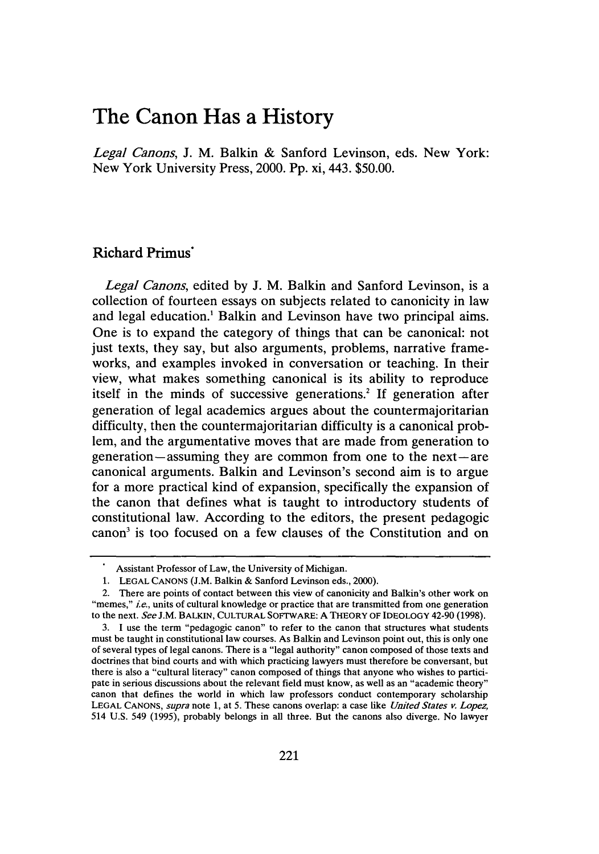# **The Canon Has a History**

*Legal Canons,* **J.** M. Balkin & Sanford Levinson, eds. New York: New York University Press, 2000. Pp. xi, 443. \$50.00.

# **Richard Primus·**

*Legal Canons,* edited by J. M. Balkin and Sanford Levinson, is a collection of fourteen essays on subjects related to canonicity in law and legal education.<sup>1</sup> Balkin and Levinson have two principal aims. One is to expand the category of things that can be canonical: not just texts, they say, but also arguments, problems, narrative frameworks, and examples invoked in conversation or teaching. In their view, what makes something canonical is its ability to reproduce itself in the minds of successive generations.<sup>2</sup> If generation after generation of legal academics argues about the countermajoritarian difficulty, then the countermajoritarian difficulty is a canonical problem, and the argumentative moves that are made from generation to generation-assuming they are common from one to the next-are canonical arguments. Balkin and Levinson's second aim is to argue for a more practical kind of expansion, specifically the expansion of the canon that defines what is taught to introductory students of constitutional law. According to the editors, the present pedagogic canon3 is too focused on a few clauses of the Constitution and on

Assistant Professor of Law, the University of Michigan.

<sup>1.</sup> LEGAL CANONS (J.M. Balkin & Sanford Levinson eds., 2000).

<sup>2.</sup> There are points of contact between this view of canonicity and Balkin's other work on "memes," *ie.,* units of cultural knowledge or practice that are transmitted from one generation to the next. *See* J.M. BALKIN, CULTURAL SOFTWARE: A THEORY OF IDEOLOGY 42-90 (1998).

<sup>3.</sup> I use the term "pedagogic canon" to refer to the canon that structures what students must be taught in constitutional law courses. As Balkin and Levinson point out, this is only one of several types of legal canons. There is a "legal authority" canon composed of those texts and doctrines that bind courts and with which practicing lawyers must therefore be conversant, but there is also a "cultural literacy" canon composed of things that anyone who wishes to participate in serious discussions about the relevant field must know, as well as an "academic theory" canon that defines the world in which law professors conduct contemporary scholarship LEGAL CANONS, *supra* note 1, at 5. These canons overlap: a case like *United States v. Lopez,*  514 U.S. 549 (1995), probably belongs in all three. But the canons also diverge. No lawyer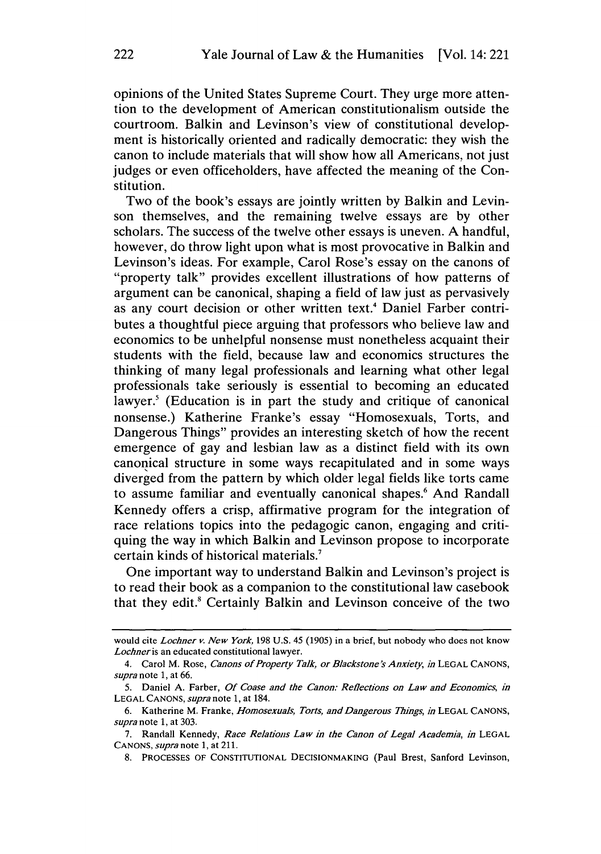opinions of the United States Supreme Court. They urge more attention to the development of American constitutionalism outside the courtroom. Balkin and Levinson's view of constitutional development is historically oriented and radically democratic: they wish the canon to include materials that will show how all Americans, not just judges or even officeholders, have affected the meaning of the Constitution.

Two of the book's essays are jointly written by Balkin and Levinson themselves, and the remaining twelve essays are by other scholars. The success of the twelve other essays is uneven. A handful, however, do throw light upon what is most provocative in Balkin and Levinson's ideas. For example, Carol Rose's essay on the canons of "property talk" provides excellent illustrations of how patterns of argument can be canonical, shaping a field of law just as pervasively as any court decision or other written text.<sup>4</sup> Daniel Farber contributes a thoughtful piece arguing that professors who believe law and economics to be unhelpful nonsense must nonetheless acquaint their students with the field, because law and economics structures the thinking of many legal professionals and learning what other legal professionals take seriously is essential to becoming an educated lawyer.<sup>5</sup> (Education is in part the study and critique of canonical nonsense.) Katherine Franke's essay "Homosexuals, Torts, and Dangerous Things" provides an interesting sketch of how the recent emergence of gay and lesbian law as a distinct field with its own canonical structure in some ways recapitulated and in some ways diverged from the pattern by which older legal fields like torts came to assume familiar and eventually canonical shapes.<sup>6</sup> And Randall Kennedy offers a crisp, affirmative program for the integration of race relations topics into the pedagogic canon, engaging and critiquing the way in which Balkin and Levinson propose to incorporate certain kinds of historical materials.<sup>7</sup>

One important way to understand Balkin and Levinson's project is to read their book as a companion to the constitutional law casebook that they edit.<sup>8</sup> Certainly Balkin and Levinson conceive of the two

would cite *Lochner v. New York,* 198 U.S. 45 (1905) in a brief, but nobody who does not know *Lochneris* an educated constitutional lawyer.

<sup>4.</sup> Carol M. Rose, *Canons of Property Talk, or Blackstone's Anxiety, in* LEGAL CANONS, *supra* note 1, at 66.

<sup>5.</sup> Daniel A. Farber, *Of Coase and the Canon: Reflections on Law and Economics, in*  LEGAL CANONS, *supra* note 1, at 184.

<sup>6.</sup> Katherine M. Franke, *Homosexuals, Torts, and Dangerous Things, in* LEGAL CANONS, *supra* note 1, at 303.

<sup>7.</sup> Randall Kennedy, *Race Relations Law in the Canon of Legal Academia, in* LEGAL CANONS, *supra* note 1, at 211.

<sup>8.</sup> PROCESSES OF CONSTITUTIONAL DECISIONMAKING (Paul Brest, Sanford Levinson,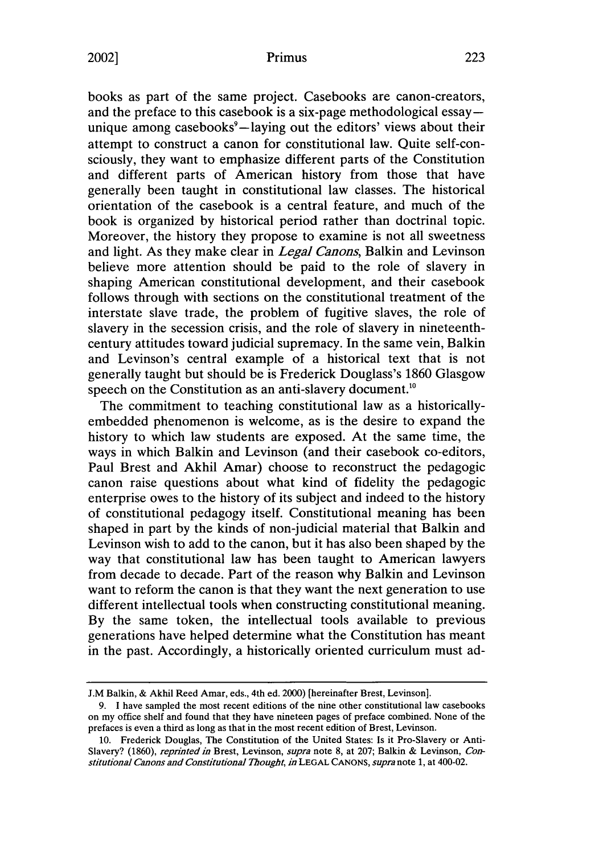# 2002] Primus 223

books as part of the same project. Casebooks are canon-creators, and the preface to this casebook is a six-page methodological essay unique among casebooks<sup>9</sup>-laying out the editors' views about their attempt to construct a canon for constitutional law. Quite self-consciously, they want to emphasize different parts of the Constitution and different parts of American history from those that have generally been taught in constitutional law classes. The historical orientation of the casebook is a central feature, and much of the book is organized by historical period rather than doctrinal topic. Moreover, the history they propose to examine is not all sweetness and light. As they make clear in *Legal Canons,* Balkin and Levinson believe more attention should be paid to the role of slavery in shaping American constitutional development, and their casebook follows through with sections on the constitutional treatment of the interstate slave trade, the problem of fugitive slaves, the role of slavery in the secession crisis, and the role of slavery in nineteenthcentury attitudes toward judicial supremacy. In the same vein, Balkin and Levinson's central example of a historical text that is not generally taught but should be is Frederick Douglass's 1860 Glasgow speech on the Constitution as an anti-slavery document.<sup>10</sup>

The commitment to teaching constitutional law as a historicallyembedded phenomenon is welcome, as is the desire to expand the history to which law students are exposed. At the same time, the ways in which Balkin and Levinson (and their casebook co-editors, Paul Brest and Akhil Amar) choose to reconstruct the pedagogic canon raise questions about what kind of fidelity the pedagogic enterprise owes to the history of its subject and indeed to the history of constitutional pedagogy itself. Constitutional meaning has been shaped in part by the kinds of non-judicial material that Balkin and Levinson wish to add to the canon, but it has also been shaped by the way that constitutional law has been taught to American lawyers from decade to decade. Part of the reason why Balkin and Levinson want to reform the canon is that they want the next generation to use different intellectual tools when constructing constitutional meaning. By the same token, the intellectual tools available to previous generations have helped determine what the Constitution has meant in the past. Accordingly, a historically oriented curriculum must ad-

J.M Balkin, & Akhil Reed Amar, eds., 4th ed. 2000) [hereinafter Brest, Levinson].

<sup>9.</sup> I have sampled the most recent editions of the nine other constitutional law casebooks on my office shelf and found that they have nineteen pages of preface combined. None of the prefaces is even a third as long as that in the most recent edition of Brest, Levinson.

<sup>10.</sup> Frederick Douglas, The Constitution of the United States: Is it Pro-Slavery or Anti-Slavery? (1860), *reprinted in* Brest, Levinson, *supra* note 8, at 207; Balkin & Levinson, *Corr stitutional Canons and Constitutional Thought, in* LEGAL CANONS, *supra* note 1, at 400-02.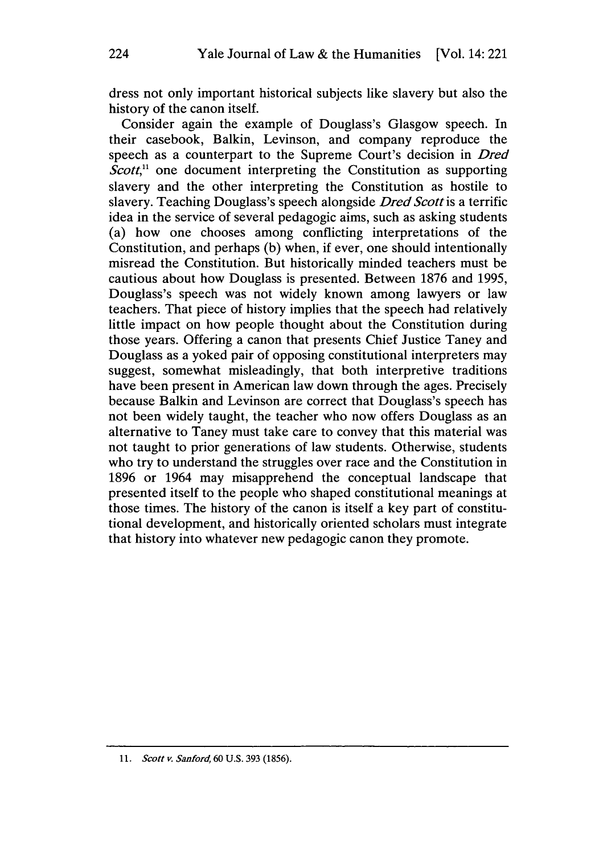dress not only important historical subjects like slavery but also the history of the canon itself.

Consider again the example of Douglass's Glasgow speech. In their casebook, Balkin, Levinson, and company reproduce the speech as a counterpart to the Supreme Court's decision in *Dred Scott*,<sup>11</sup> one document interpreting the Constitution as supporting slavery and the other interpreting the Constitution as hostile to slavery. Teaching Douglass's speech alongside *Dred Scott* is a terrific idea in the service of several pedagogic aims, such as asking students (a) how one chooses among conflicting interpretations of the Constitution, and perhaps (b) when, if ever, one should intentionally misread the Constitution. But historically minded teachers must be cautious about how Douglass is presented. Between 1876 and 1995, Douglass's speech was not widely known among lawyers or law teachers. That piece of history implies that the speech had relatively little impact on how people thought about the Constitution during those years. Offering a canon that presents Chief Justice Taney and Douglass as a yoked pair of opposing constitutional interpreters may suggest, somewhat misleadingly, that both interpretive traditions have been present in American law down through the ages. Precisely because Balkin and Levinson are correct that Douglass's speech has not been widely taught, the teacher who now offers Douglass as an alternative to Taney must take care to convey that this material was not taught to prior generations of law students. Otherwise, students who try to understand the struggles over race and the Constitution in 1896 or 1964 may misapprehend the conceptual landscape that presented itself to the people who shaped constitutional meanings at those times. The history of the canon is itself a key part of constitutional development, and historically oriented scholars must integrate that history into whatever new pedagogic canon they promote.

<sup>11.</sup> *Scott v. Sanford,* 60 U.S. 393 (1856).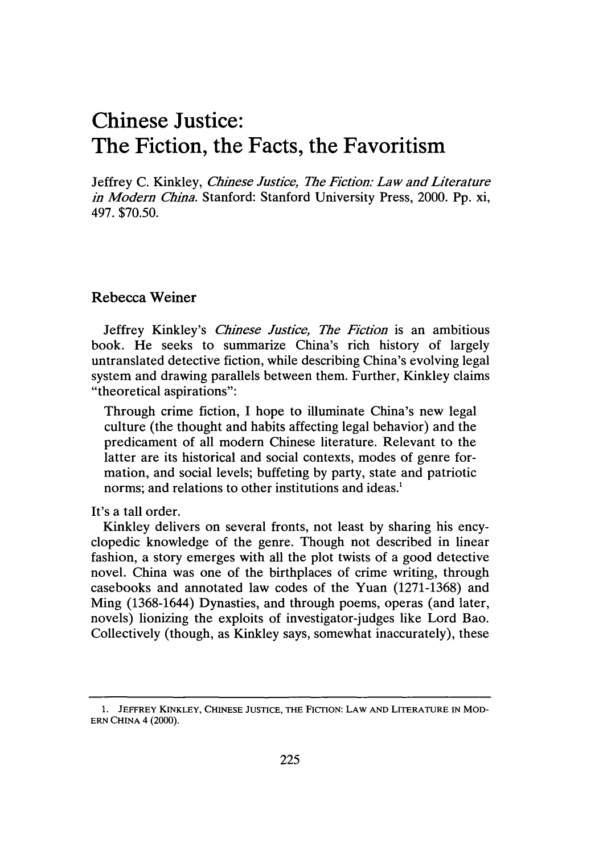# **Chinese Justice: The Fiction, the Facts, the Favoritism**

Jeffrey C. Kinkley, *Chinese Justice, The Fiction: Law and Literature in Modern China.* Stanford: Stanford University Press, 2000. Pp. xi, 497. \$70.50.

### Rebecca Weiner

Jeffrey Kinkley's *Chinese Justice, The Fiction* is an ambitious book. He seeks to summarize China's rich history of largely untranslated detective fiction, while describing China's evolving legal system and drawing parallels between them. Further, Kinkley claims "theoretical aspirations":

Through crime fiction, I hope to illuminate China's new legal culture (the thought and habits affecting legal behavior) and the predicament of all modern Chinese literature. Relevant to the latter are its historical and social contexts, modes of genre formation, and social levels; buffeting by party, state and patriotic norms; and relations to other institutions and ideas.<sup>1</sup>

It's a tall order.

Kinkley delivers on several fronts, not least by sharing his encyclopedic knowledge of the genre. Though not described in linear fashion, a story emerges with all the plot twists of a good detective novel. China was one of the birthplaces of crime writing, through casebooks and annotated law codes of the Yuan (1271-1368) and Ming (1368-1644) Dynasties, and through poems, operas (and later, novels) lionizing the exploits of investigator-judges like Lord Bao. Collectively (though, as Kinkley says, somewhat inaccurately), these

<sup>1.</sup> JEFFREY KINKLEY, CHINESE JUSTICE, THE FICTION: LAW AND LITERATURE IN MOD-ERN CHINA 4 (2000).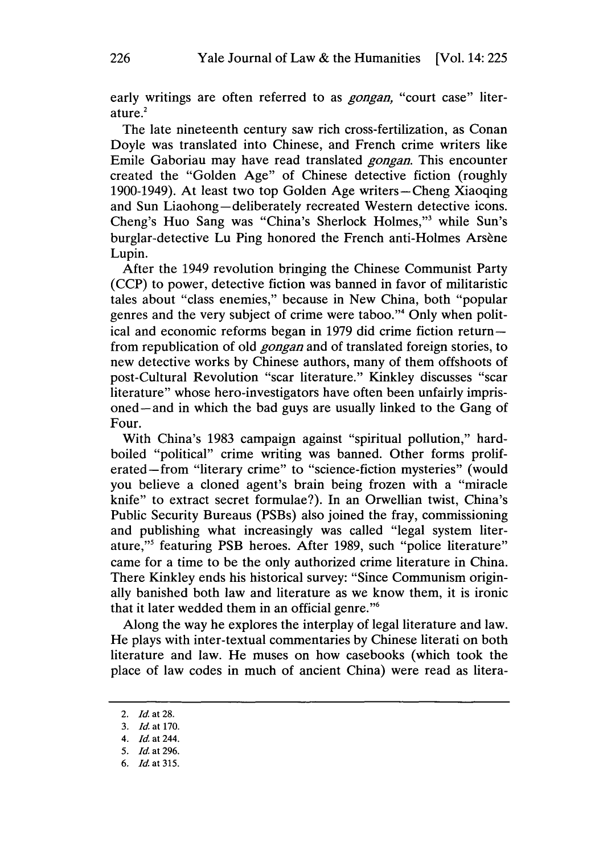early writings are often referred to as *gongan,* "court case" literature.<sup>2</sup>

The late nineteenth century saw rich cross-fertilization, as Conan Doyle was translated into Chinese, and French crime writers like Emile Gaboriau may have read translated *gongan.* This encounter created the "Golden Age" of Chinese detective fiction (roughly 1900-1949). At least two top Golden Age writers-Cheng Xiaoqing and Sun Liaohong-deliberately recreated Western detective icons. Cheng's Huo Sang was "China's Sherlock Holmes,"<sup>3</sup> while Sun's burglar-detective Lu Ping honored the French anti-Holmes Arsène Lupin.

After the 1949 revolution bringing the Chinese Communist Party (CCP) to power, detective fiction was banned in favor of militaristic tales about "class enemies," because in New China, both "popular genres and the very subject of crime were taboo."4 Only when political and economic reforms began in 1979 did crime fiction returnfrom republication of old *gongan* and of translated foreign stories, to new detective works by Chinese authors, many of them offshoots of post-Cultural Revolution "scar literature." Kinkley discusses "scar literature" whose hero-investigators have often been unfairly imprisoned- and in which the bad guys are usually linked to the Gang of Four.

With China's 1983 campaign against "spiritual pollution," hardboiled "political" crime writing was banned. Other forms proliferated-from "literary crime" to "science-fiction mysteries" (would you believe a cloned agent's brain being frozen with a "miracle knife" to extract secret formulae?). In an Orwellian twist, China's Public Security Bureaus (PSBs) also joined the fray, commissioning and publishing what increasingly was called "legal system literature,"5 featuring PSB heroes. After 1989, such "police literature" came for a time to be the only authorized crime literature in China. There Kinkley ends his historical survey: "Since Communism originally banished both law and literature as we know them, it is ironic that it later wedded them in an official genre. "6

Along the way he explores the interplay of legal literature and law. He plays with inter-textual commentaries by Chinese literati on both literature and law. He muses on how casebooks (which took the place of law codes in much of ancient China) were read as litera-

<sup>2.</sup> *Id* at 28.

<sup>3.</sup> *Id* at 170.

<sup>4.</sup> *Id* at 244.

<sup>5.</sup> *Id* at 296.

<sup>6.</sup> *Id* at 315.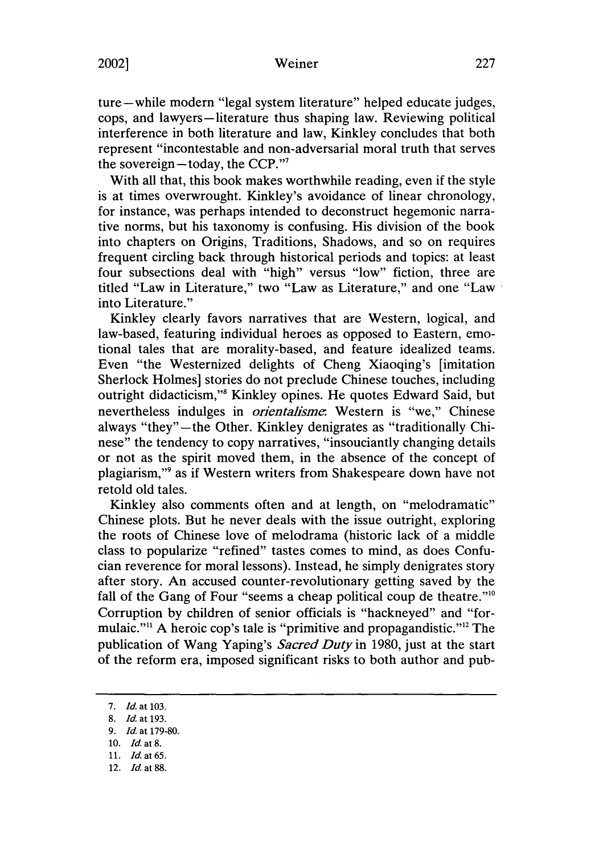# 2002] Weiner 227

ture-while modern "legal system literature" helped educate judges, cops, and lawyers-literature thus shaping law. Reviewing political interference in both literature and law, Kinkley concludes that both represent "incontestable and non-adversarial moral truth that serves the sovereign-today, the CCP."<sup>7</sup>

With all that, this book makes worthwhile reading, even if the style is at times overwrought. Kinkley's avoidance of linear chronology, for instance, was perhaps intended to deconstruct hegemonic narrative norms, but his taxonomy is confusing. His division of the book into chapters on Origins, Traditions, Shadows, and so on requires frequent circling back through historical periods and topics: at least four subsections deal with "high" versus "low" fiction, three are titled "Law in Literature," two "Law as Literature," and one "Law · into Literature."

Kinkley clearly favors narratives that are Western, logical, and law-based, featuring individual heroes as opposed to Eastern, emotional tales that are morality-based, and feature idealized teams. Even "the Westernized delights of Cheng Xiaoqing's [imitation Sherlock Holmes] stories do not preclude Chinese touches, including outright didacticism,"8 Kinkley opines. He quotes Edward Said, but nevertheless indulges in *orientalisme.* Western is "we," Chinese always "they" - the Other. Kinkley denigrates as "traditionally Chinese" the tendency to copy narratives, "insouciantly changing details or not as the spirit moved them, in the absence of the concept of plagiarism,"9 as if Western writers from Shakespeare down have not retold old tales.

Kinkley also comments often and at length, on "melodramatic" Chinese plots. But he never deals with the issue outright, exploring the roots of Chinese love of melodrama (historic lack of a middle class to popularize "refined" tastes comes to mind, as does Confucian reverence for moral lessons). Instead, he simply denigrates story after story. An accused counter-revolutionary getting saved by the fall of the Gang of Four "seems a cheap political coup de theatre."<sup>10</sup> Corruption by children of senior officials is "hackneyed" and "formulaic."11 A heroic cop's tale is "primitive and propagandistic."12 The publication of Wang Yaping's *Sacred Duty* in 1980, just at the start of the reform era, imposed significant risks to both author and pub-

<sup>7.</sup> *Id.* at 103.

<sup>8.</sup> *Id.* at 193.

<sup>9.</sup> *Id.* at 179-80.

<sup>10.</sup> *Id.* at 8.

<sup>11.</sup> Id.at65.

<sup>12.</sup> *Id.* at 88.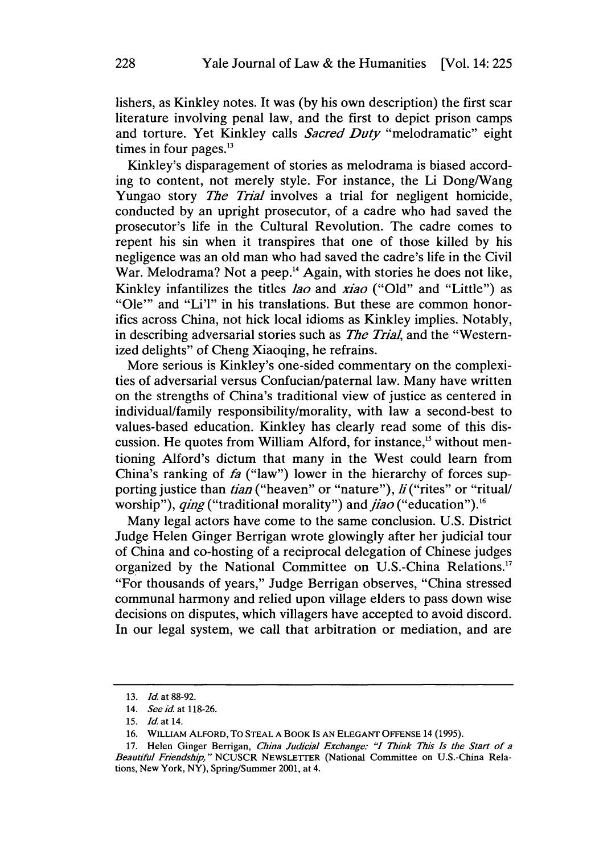lishers, as Kinkley notes. It was (by his own description) the first scar literature involving penal law, and the first to depict prison camps and torture. Yet Kinkley calls *Sacred Duty* "melodramatic" eight times in four pages. $13$ 

Kinkley's disparagement of stories as melodrama is biased according to content, not merely style. For instance, the Li Dong/Wang Yungao story *The Trial* involves a trial for negligent homicide, conducted by an upright prosecutor, of a cadre who had saved the prosecutor's life in the Cultural Revolution. The cadre comes to repent his sin when it transpires that one of those killed by his negligence was an old man who had saved the cadre's life in the Civil War. Melodrama? Not a peep.<sup>14</sup> Again, with stories he does not like, Kinkley infantilizes the titles *Jao* and *xiao* ("Old" and "Little") as "Ole"' and "Li'l" in his translations. But these are common honorifics across China, not hick local idioms as Kinkley implies. Notably, in describing adversarial stories such as *The Trial,* and the "Westernized delights" of Cheng Xiaoqing, he refrains.

More serious is Kinkley's one-sided commentary on the complexities of adversarial versus Confucian/paternal law. Many have written on the strengths of China's traditional view of justice as centered in individual/family responsibility/morality, with law a second-best to values-based education. Kinkley has clearly read some of this discussion. He quotes from William Alford, for instance,<sup>15</sup> without mentioning Alford's dictum that many in the West could learn from China's ranking of fa ("law") lower in the hierarchy of forces supporting justice than *tian* ("heaven" or "nature"), *Ji* ("rites" or "ritual/ worship"), *ging* ("traditional morality") and *jiao* ("education").<sup>16</sup>

Many legal actors have come to the same conclusion. U.S. District Judge Helen Ginger Berrigan wrote glowingly after her judicial tour of China and co-hosting of a reciprocal delegation of Chinese judges organized by the National Committee on U.S.-China Relations.<sup>17</sup> "For thousands of years," Judge Berrigan observes, "China stressed communal harmony and relied upon village elders to pass down wise decisions on disputes, which villagers have accepted to avoid discord. In our legal system, we call that arbitration or mediation, and are

<sup>13.</sup> *Id* at 88-92.

<sup>14.</sup> *See id.* at 118-26.

<sup>15.</sup> *Jdat* 14.

<sup>16.</sup> WILLIAM ALFORD, To STEAL A BOOK Is AN ELEGANT OFFENSE 14 (1995).

<sup>17.</sup> Helen Ginger Berrigan, *China Judicial Exchange: "I Think This Is the Start of a Beautiful Friendship,"* NCUSCR NEWSLETTER (National Committee on U.S.-China Relations, New York, NY), Spring/Summer 2001, at 4.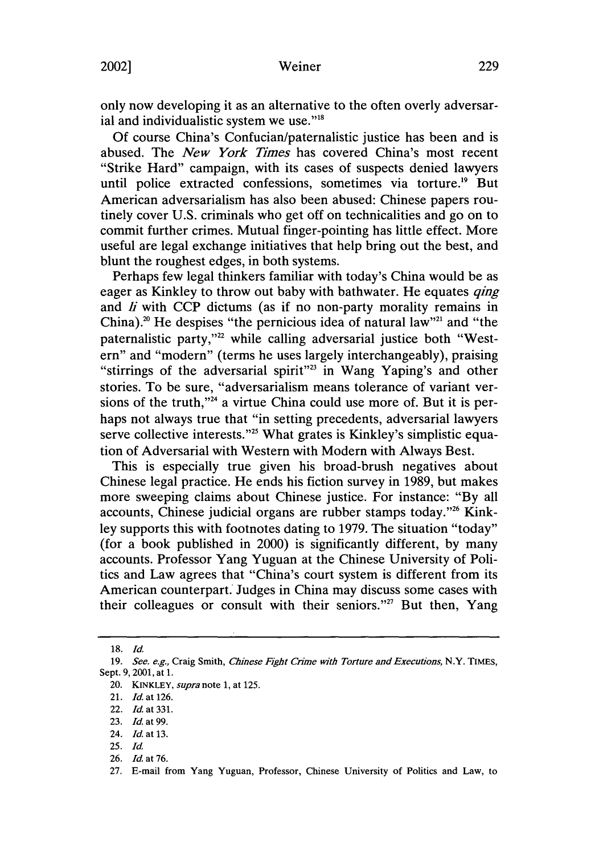only now developing it as an alternative to the often overly adversarial and individualistic system we use."<sup>18</sup>

Of course China's Confucian/paternalistic justice has been and is abused. The *New York Times* has covered China's most recent "Strike Hard" campaign, with its cases of suspects denied lawyers until police extracted confessions, sometimes via torture.<sup>19</sup> But American adversarialism has also been abused: Chinese papers routinely cover U.S. criminals who get off on technicalities and go on to commit further crimes. Mutual finger-pointing has little effect. More useful are legal exchange initiatives that help bring out the best, and blunt the roughest edges, in both systems.

Perhaps few legal thinkers familiar with today's China would be as eager as Kinkley to throw out baby with bathwater. He equates *qing*  and *Ji* with CCP dictums (as if no non-party morality remains in China).<sup>20</sup> He despises "the pernicious idea of natural law"<sup>21</sup> and "the paternalistic party,"<sup>22</sup> while calling adversarial justice both "Western" and "modern" (terms he uses largely interchangeably), praising "stirrings of the adversarial spirit"<sup>23</sup> in Wang Yaping's and other stories. To be sure, "adversarialism means tolerance of variant versions of the truth,"<sup>24</sup> a virtue China could use more of. But it is perhaps not always true that "in setting precedents, adversarial lawyers serve collective interests."<sup>25</sup> What grates is Kinkley's simplistic equation of Adversarial with Western with Modern with Always Best.

This is especially true given his broad-brush negatives about Chinese legal practice. He ends his fiction survey in 1989, but makes more sweeping claims about Chinese justice. For instance: "By all accounts, Chinese judicial organs are rubber stamps today."26 Kinkley supports this with footnotes dating to 1979. The situation "today" (for a book published in 2000) is significantly different, by many accounts. Professor Yang Yuguan at the Chinese University of Politics and Law agrees that "China's court system is different from its American counterpart.' Judges in China may discuss some cases with their colleagues or consult with their seniors."<sup>27</sup> But then, Yang

<sup>18.</sup> *Id.* 

<sup>19.</sup> *See. e.g.,* Craig Smith, *Chinese Fight Crime* with *Torture and Executions,* N.Y. TIMES, Sept. 9, 2001, at 1.

<sup>20.</sup> KINKLEY, *supra* note 1, at 125.

<sup>21.</sup> *Id.* at 126.

<sup>22.</sup> *Id.* at 331.

<sup>23.</sup> *Id.* at 99.

<sup>24.</sup> *Id.* at 13.

<sup>25.</sup> *Id.* 

<sup>26.</sup> *Id.* at 76.

<sup>27.</sup> E-mail from Yang Yuguan, Professor, Chinese University of Politics and Law, to